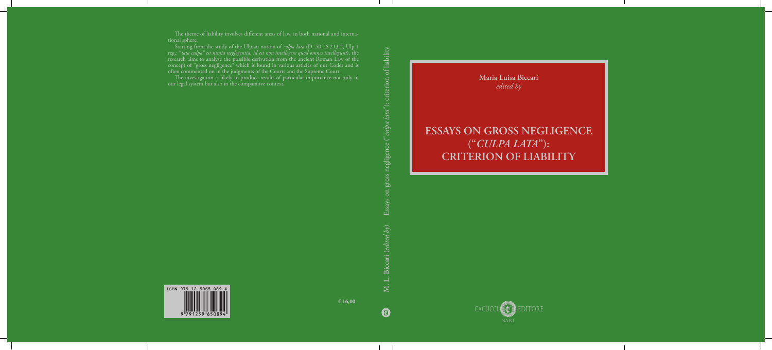**Maria Luisa Biccari** *edited by*

## **ESSAYS ON GROSS NEGLIGENCE ("***CULPA LATA***"): CRITERION OF LIABILITY**





0

**€ 16,00**

The theme of liability involves different areas of law, in both national and international sphere.

The investigation is likely to produce results of particular importance not only in our legal system but also in the comparative context.

Starting from the study of the Ulpian notion of *culpa lata* (D. 50.16.213.2, Ulp.1 reg.: "*lata culpa" est nimia neglegentia, id est non intellegere quod omnes intellegunt*), the research aims to analyse the possible derivation from the ancient Roman Law of the concept of "gross negligence" which is found in various articles of our Codes and is often commented on in the judgments of the Courts and the Supreme Court.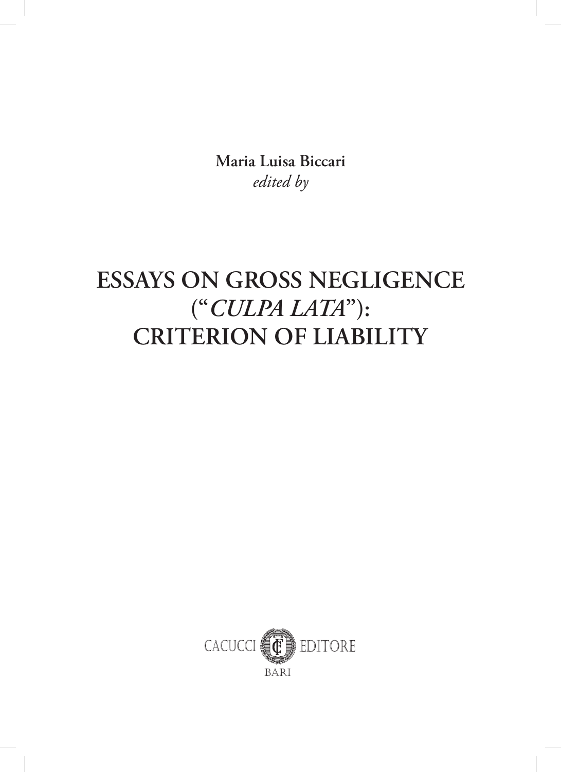**Maria Luisa Biccari** *edited by*

# **ESSAYS ON GROSS NEGLIGENCE ("***CULPA LATA***"): CRITERION OF LIABILITY**

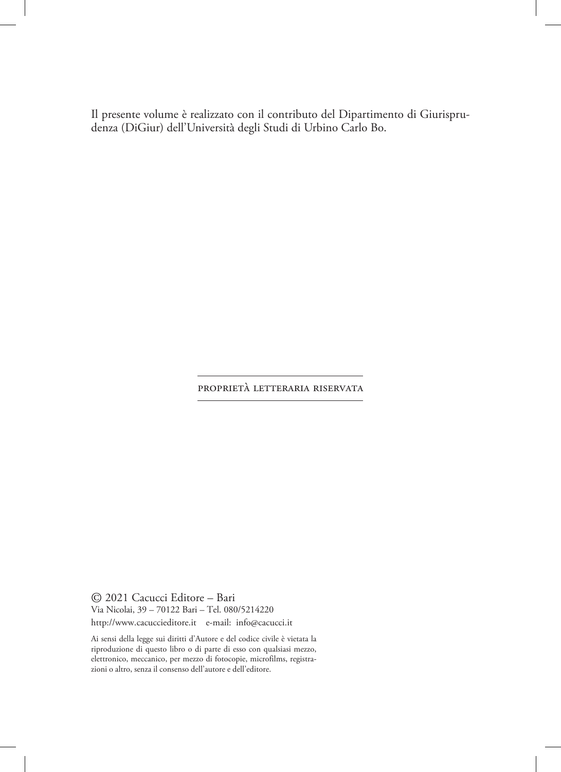Il presente volume è realizzato con il contributo del Dipartimento di Giurisprudenza (DiGiur) dell'Università degli Studi di Urbino Carlo Bo.

#### proprietà letteraria riservata

© 2021 Cacucci Editore – Bari Via Nicolai, 39 – 70122 Bari – Tel. 080/5214220 http://www.cacuccieditore.it e-mail: info@cacucci.it

Ai sensi della legge sui diritti d'Autore e del codice civile è vietata la riproduzione di questo libro o di parte di esso con qualsiasi mezzo, elettronico, meccanico, per mezzo di fotocopie, microfilms, registrazioni o altro, senza il consenso dell'autore e dell'editore.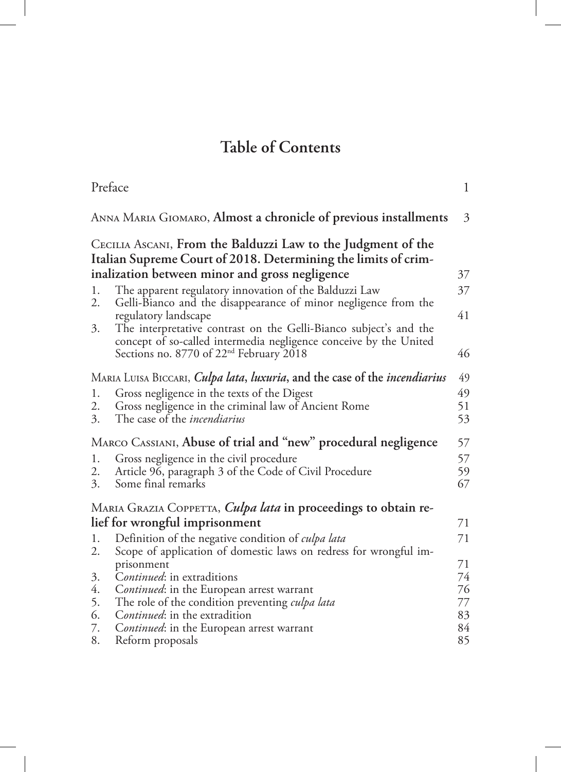### **Table of Contents**

| Preface  |                                                                                                                                        | $\mathbf{1}$ |  |
|----------|----------------------------------------------------------------------------------------------------------------------------------------|--------------|--|
|          | ANNA MARIA GIOMARO, Almost a chronicle of previous installments                                                                        | 3            |  |
|          | CECILIA ASCANI, From the Balduzzi Law to the Judgment of the<br>Italian Supreme Court of 2018. Determining the limits of crim-         |              |  |
|          | inalization between minor and gross negligence                                                                                         | 37           |  |
| 1.<br>2. | The apparent regulatory innovation of the Balduzzi Law<br>Gelli-Bianco and the disappearance of minor negligence from the              | 37           |  |
|          | regulatory landscape                                                                                                                   | 41           |  |
| 3.       | The interpretative contrast on the Gelli-Bianco subject's and the<br>concept of so-called intermedia negligence conceive by the United |              |  |
|          | Sections no. 8770 of 22 <sup>nd</sup> February 2018                                                                                    | 46           |  |
|          | MARIA LUISA BICCARI, <i>Culpa lata</i> , <i>luxuria</i> , and the case of the <i>incendiarius</i>                                      | 49           |  |
| 1.       | Gross negligence in the texts of the Digest                                                                                            | 49           |  |
| 2.       | Gross negligence in the criminal law of Ancient Rome                                                                                   | 51           |  |
| 3.       | The case of the <i>incendiarius</i>                                                                                                    | 53           |  |
|          | MARCO CASSIANI, Abuse of trial and "new" procedural negligence                                                                         |              |  |
| 1.       | Gross negligence in the civil procedure                                                                                                | 57<br>57     |  |
| 2.       | Article 96, paragraph 3 of the Code of Civil Procedure                                                                                 | 59           |  |
| 3.       | Some final remarks                                                                                                                     | 67           |  |
|          | MARIA GRAZIA COPPETTA, <i>Culpa lata</i> in proceedings to obtain re-                                                                  |              |  |
|          | lief for wrongful imprisonment                                                                                                         | 71           |  |
| 1.       | Definition of the negative condition of <i>culpa lata</i>                                                                              | 71           |  |
| 2.       | Scope of application of domestic laws on redress for wrongful im-                                                                      |              |  |
|          | prisonment                                                                                                                             | 71           |  |
| 3.       | Continued: in extraditions                                                                                                             | 74           |  |
| 4.       | Continued: in the European arrest warrant                                                                                              | 76           |  |
| 5.       | The role of the condition preventing <i>culpa lata</i>                                                                                 | 77           |  |
| 6.<br>7. | Continued: in the extradition                                                                                                          | 83<br>84     |  |
| 8.       | Continued: in the European arrest warrant<br>Reform proposals                                                                          | 85           |  |
|          |                                                                                                                                        |              |  |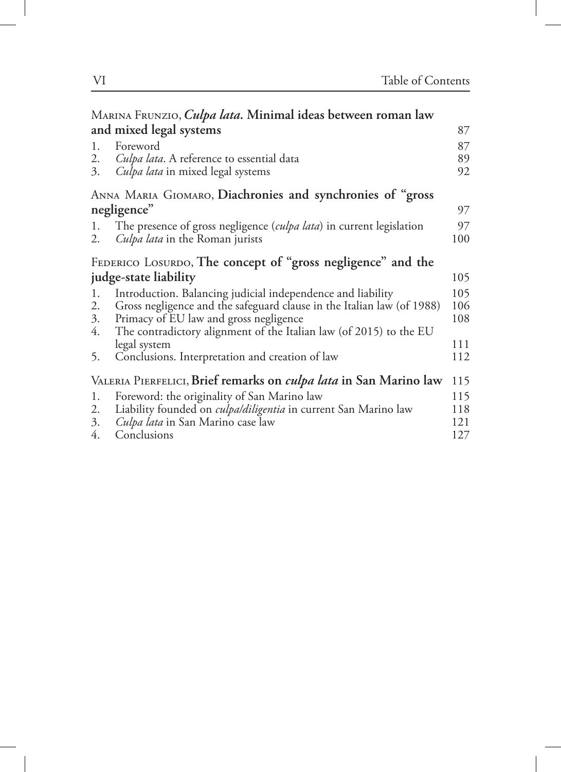|                       | MARINA FRUNZIO, Culpa lata. Minimal ideas between roman law              |     |
|-----------------------|--------------------------------------------------------------------------|-----|
|                       | and mixed legal systems                                                  | 87  |
| 1.                    | Foreword                                                                 | 87  |
| 2.                    | <i>Culpa lata</i> . A reference to essential data                        | 89  |
| 3.                    | Culpa lata in mixed legal systems                                        | 92  |
|                       | ANNA MARIA GIOMARO, Diachronies and synchronies of "gross                |     |
|                       | negligence"                                                              | 97  |
| 1.                    | The presence of gross negligence (culpa lata) in current legislation     | 97  |
| 2.                    | <i>Culpa lata</i> in the Roman jurists                                   | 100 |
|                       | FEDERICO LOSURDO, The concept of "gross negligence" and the              |     |
| judge-state liability |                                                                          | 105 |
| 1.                    | Introduction. Balancing judicial independence and liability              | 105 |
| 2.                    | Gross negligence and the safeguard clause in the Italian law (of 1988)   | 106 |
| 3.                    | Primacy of EU law and gross negligence                                   | 108 |
| 4.                    | The contradictory alignment of the Italian law (of 2015) to the EU       |     |
|                       | legal system                                                             | 111 |
| 5.                    | Conclusions. Interpretation and creation of law                          | 112 |
|                       | VALERIA PIERFELICI, Brief remarks on <i>culpa lata</i> in San Marino law | 115 |
| 1.                    | Foreword: the originality of San Marino law                              | 115 |
| 2.                    | Liability founded on culpa/diligentia in current San Marino law          | 118 |
| 3.                    | Culpa lata in San Marino case law                                        | 121 |
| 4.                    | Conclusions                                                              | 127 |